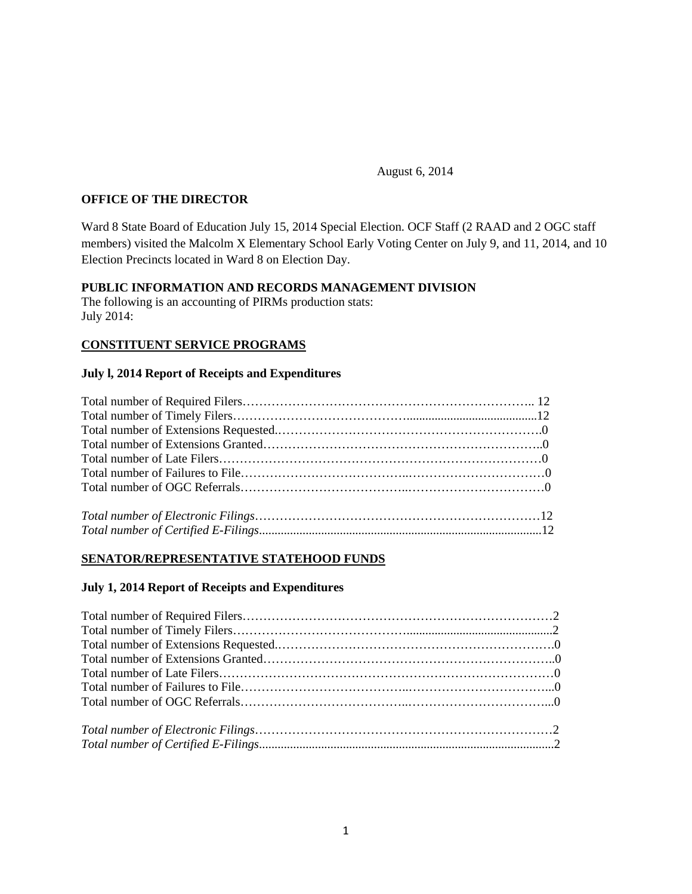August 6, 2014

## **OFFICE OF THE DIRECTOR**

Ward 8 State Board of Education July 15, 2014 Special Election. OCF Staff (2 RAAD and 2 OGC staff members) visited the Malcolm X Elementary School Early Voting Center on July 9, and 11, 2014, and 10 Election Precincts located in Ward 8 on Election Day.

#### **PUBLIC INFORMATION AND RECORDS MANAGEMENT DIVISION**

The following is an accounting of PIRMs production stats: July 2014:

## **CONSTITUENT SERVICE PROGRAMS**

#### **July l, 2014 Report of Receipts and Expenditures**

## **SENATOR/REPRESENTATIVE STATEHOOD FUNDS**

#### **July 1, 2014 Report of Receipts and Expenditures**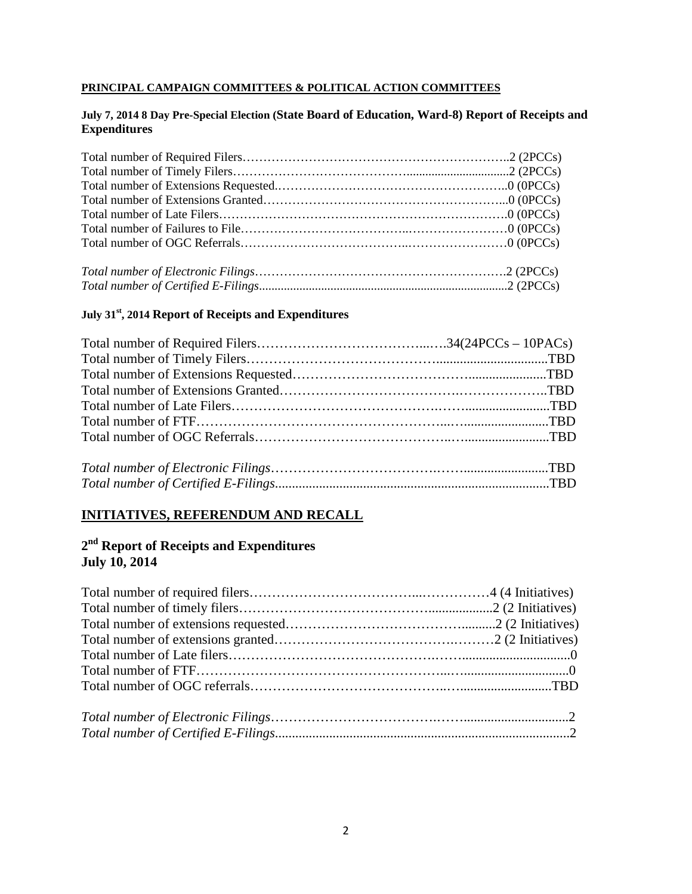#### **PRINCIPAL CAMPAIGN COMMITTEES & POLITICAL ACTION COMMITTEES**

#### **July 7, 2014 8 Day Pre-Special Election (State Board of Education, Ward-8) Report of Receipts and Expenditures**

#### **July 31st, 2014 Report of Receipts and Expenditures**

# **INITIATIVES, REFERENDUM AND RECALL**

## **2nd Report of Receipts and Expenditures July 10, 2014**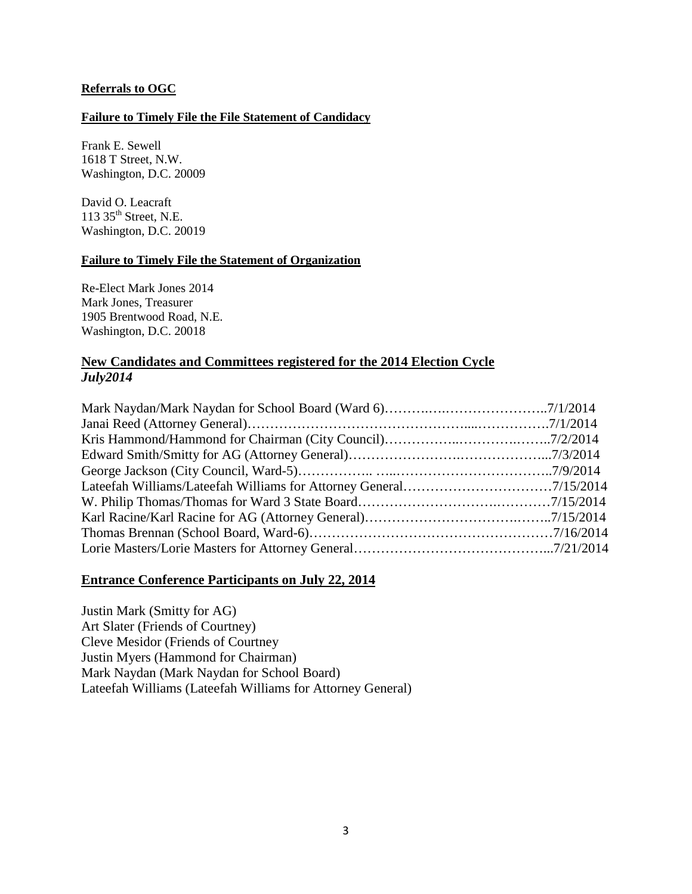#### **Referrals to OGC**

#### **Failure to Timely File the File Statement of Candidacy**

Frank E. Sewell 1618 T Street, N.W. Washington, D.C. 20009

David O. Leacraft 113  $35<sup>th</sup>$  Street, N.E. Washington, D.C. 20019

#### **Failure to Timely File the Statement of Organization**

Re-Elect Mark Jones 2014 Mark Jones, Treasurer 1905 Brentwood Road, N.E. Washington, D.C. 20018

## **New Candidates and Committees registered for the 2014 Election Cycle** *July2014*

## **Entrance Conference Participants on July 22, 2014**

Justin Mark (Smitty for AG) Art Slater (Friends of Courtney) Cleve Mesidor (Friends of Courtney Justin Myers (Hammond for Chairman) Mark Naydan (Mark Naydan for School Board) Lateefah Williams (Lateefah Williams for Attorney General)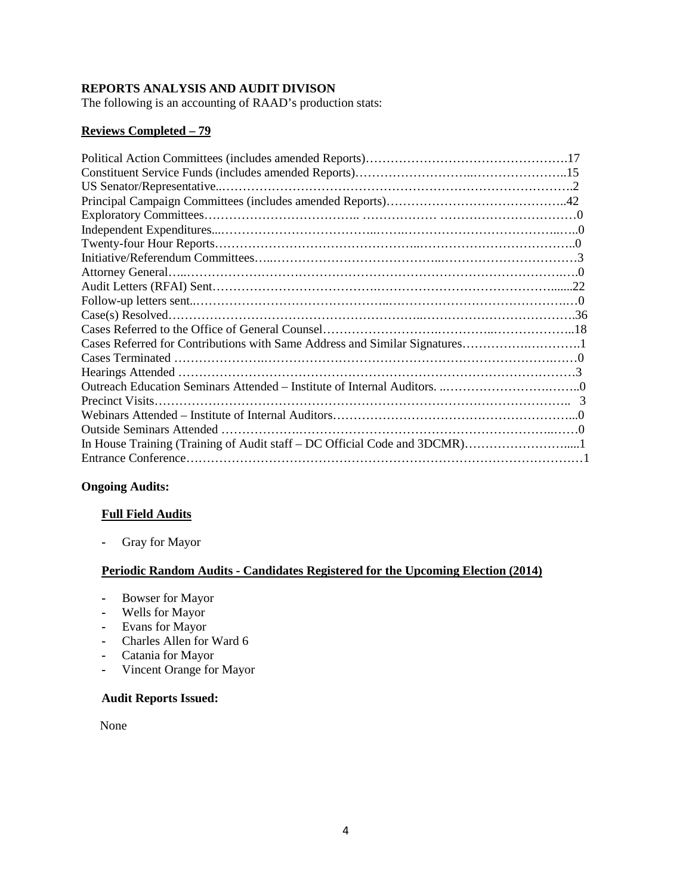## **REPORTS ANALYSIS AND AUDIT DIVISON**

The following is an accounting of RAAD's production stats:

## **Reviews Completed – 79**

## **Ongoing Audits:**

#### **Full Field Audits**

**-** Gray for Mayor

#### **Periodic Random Audits - Candidates Registered for the Upcoming Election (2014)**

- **-** Bowser for Mayor
- **-** Wells for Mayor
- **-** Evans for Mayor
- **-** Charles Allen for Ward 6
- **-** Catania for Mayor
- **-** Vincent Orange for Mayor

## **Audit Reports Issued:**

None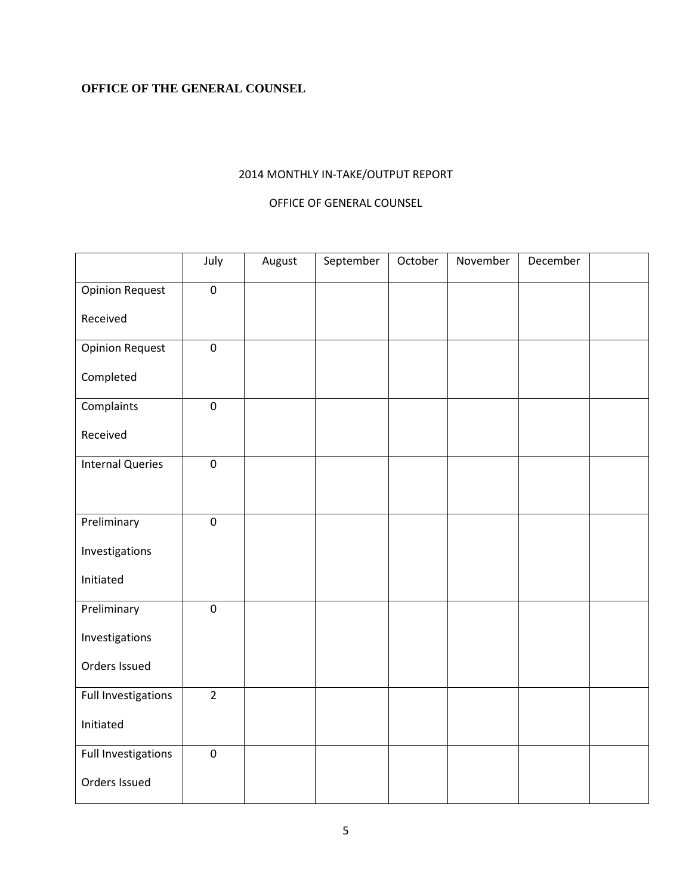## **OFFICE OF THE GENERAL COUNSEL**

## 2014 MONTHLY IN-TAKE/OUTPUT REPORT

## OFFICE OF GENERAL COUNSEL

|                         | July           | August | September | October | November | December |  |
|-------------------------|----------------|--------|-----------|---------|----------|----------|--|
| <b>Opinion Request</b>  | $\pmb{0}$      |        |           |         |          |          |  |
| Received                |                |        |           |         |          |          |  |
| <b>Opinion Request</b>  | $\mathbf 0$    |        |           |         |          |          |  |
| Completed               |                |        |           |         |          |          |  |
| Complaints              | $\pmb{0}$      |        |           |         |          |          |  |
| Received                |                |        |           |         |          |          |  |
| <b>Internal Queries</b> | $\mathbf 0$    |        |           |         |          |          |  |
|                         |                |        |           |         |          |          |  |
| Preliminary             | $\pmb{0}$      |        |           |         |          |          |  |
| Investigations          |                |        |           |         |          |          |  |
| Initiated               |                |        |           |         |          |          |  |
| Preliminary             | $\pmb{0}$      |        |           |         |          |          |  |
| Investigations          |                |        |           |         |          |          |  |
| Orders Issued           |                |        |           |         |          |          |  |
| Full Investigations     | $\overline{2}$ |        |           |         |          |          |  |
| Initiated               |                |        |           |         |          |          |  |
| Full Investigations     | $\pmb{0}$      |        |           |         |          |          |  |
| Orders Issued           |                |        |           |         |          |          |  |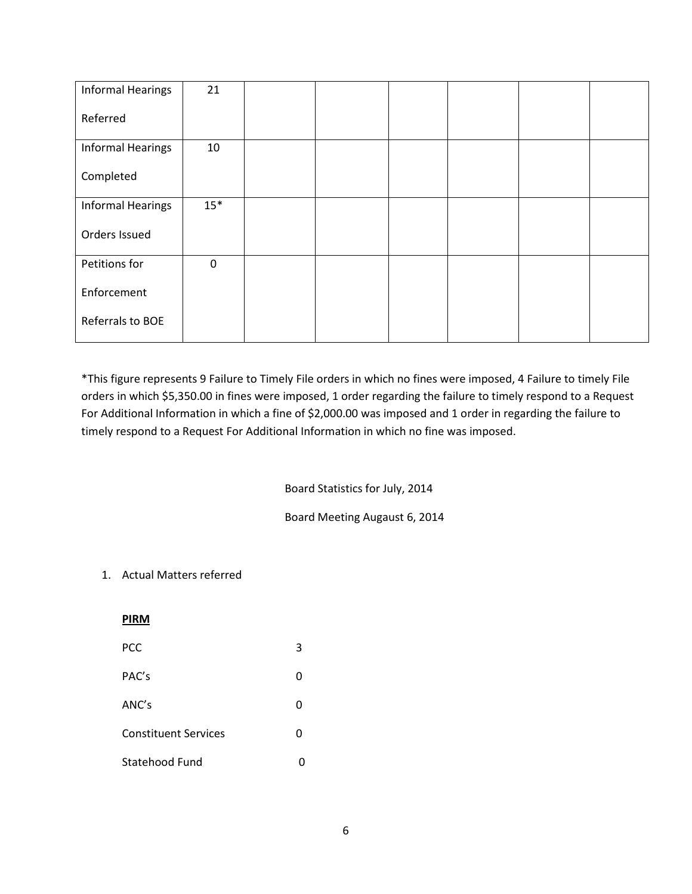| <b>Informal Hearings</b> | 21          |  |  |  |
|--------------------------|-------------|--|--|--|
| Referred                 |             |  |  |  |
| <b>Informal Hearings</b> | 10          |  |  |  |
| Completed                |             |  |  |  |
| <b>Informal Hearings</b> | $15*$       |  |  |  |
| Orders Issued            |             |  |  |  |
| Petitions for            | $\mathbf 0$ |  |  |  |
| Enforcement              |             |  |  |  |
| Referrals to BOE         |             |  |  |  |

\*This figure represents 9 Failure to Timely File orders in which no fines were imposed, 4 Failure to timely File orders in which \$5,350.00 in fines were imposed, 1 order regarding the failure to timely respond to a Request For Additional Information in which a fine of \$2,000.00 was imposed and 1 order in regarding the failure to timely respond to a Request For Additional Information in which no fine was imposed.

#### Board Statistics for July, 2014

Board Meeting Augaust 6, 2014

## 1. Actual Matters referred

**PIRM**

| PCC                         | 3 |
|-----------------------------|---|
| PAC's                       | 0 |
| ANC's                       | 0 |
| <b>Constituent Services</b> | 0 |
| Statehood Fund              |   |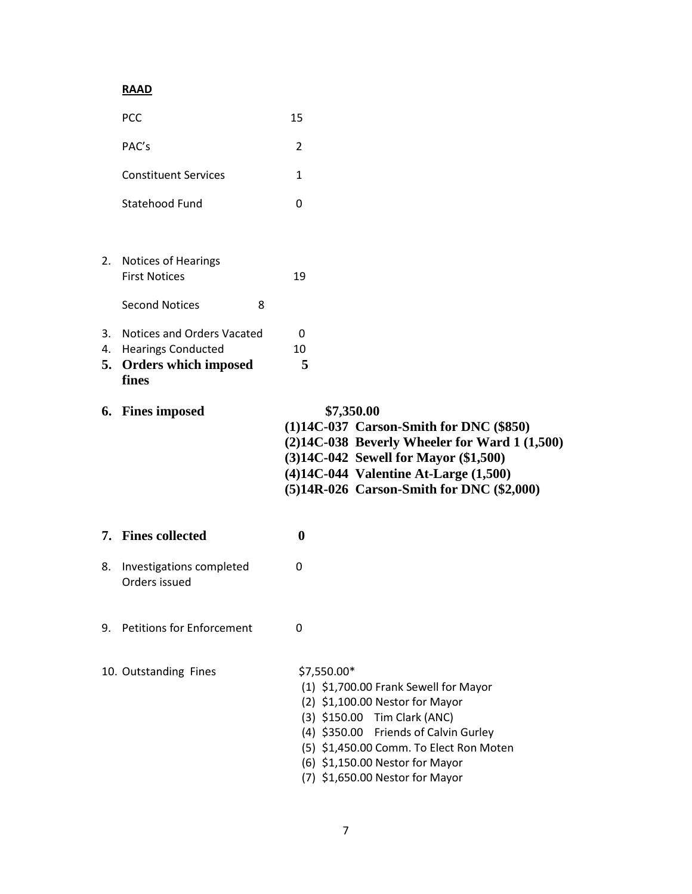# **RAAD**

|          | PCC                                                                                         |   | 15                                                                                                                                                                                                                                                                                  |
|----------|---------------------------------------------------------------------------------------------|---|-------------------------------------------------------------------------------------------------------------------------------------------------------------------------------------------------------------------------------------------------------------------------------------|
|          | PAC's                                                                                       |   | 2                                                                                                                                                                                                                                                                                   |
|          | <b>Constituent Services</b>                                                                 |   | $\mathbf{1}$                                                                                                                                                                                                                                                                        |
|          | Statehood Fund                                                                              |   | 0                                                                                                                                                                                                                                                                                   |
|          | 2. Notices of Hearings<br><b>First Notices</b><br><b>Second Notices</b>                     | 8 | 19                                                                                                                                                                                                                                                                                  |
| 3.<br>4. | Notices and Orders Vacated<br><b>Hearings Conducted</b><br>5. Orders which imposed<br>fines |   | 0<br>10<br>5                                                                                                                                                                                                                                                                        |
|          | 6. Fines imposed                                                                            |   | \$7,350.00<br>$(1)14C-037$ Carson-Smith for DNC $(\$850)$<br>$(2)14C-038$ Beverly Wheeler for Ward 1 $(1,500)$<br>(3)14C-042 Sewell for Mayor (\$1,500)<br>$(4)14C-044$ Valentine At-Large $(1,500)$<br>(5)14R-026 Carson-Smith for DNC (\$2,000)                                   |
|          | 7. Fines collected                                                                          |   | $\boldsymbol{0}$                                                                                                                                                                                                                                                                    |
| 8.       | Investigations completed<br>Orders issued                                                   |   | 0                                                                                                                                                                                                                                                                                   |
|          | 9. Petitions for Enforcement                                                                |   | 0                                                                                                                                                                                                                                                                                   |
|          | 10. Outstanding Fines                                                                       |   | \$7,550.00*<br>(1) \$1,700.00 Frank Sewell for Mayor<br>$(2)$ \$1,100.00 Nestor for Mayor<br>(3) \$150.00 Tim Clark (ANC)<br>(4) \$350.00 Friends of Calvin Gurley<br>(5) \$1,450.00 Comm. To Elect Ron Moten<br>(6) \$1,150.00 Nestor for Mayor<br>(7) \$1,650.00 Nestor for Mayor |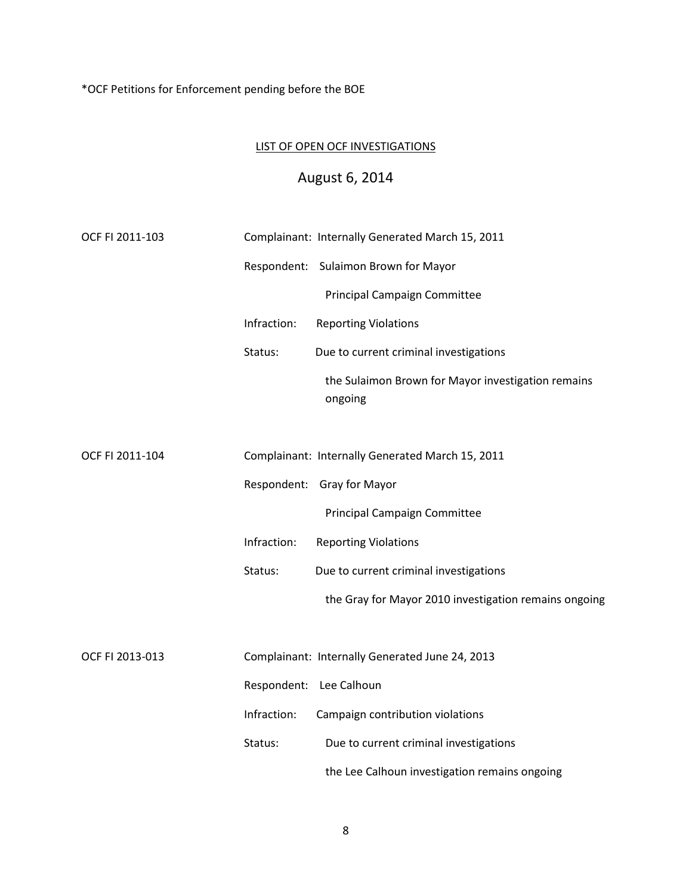\*OCF Petitions for Enforcement pending before the BOE

## LIST OF OPEN OCF INVESTIGATIONS

# August 6, 2014

| OCF FI 2011-103 |                         | Complainant: Internally Generated March 15, 2011              |
|-----------------|-------------------------|---------------------------------------------------------------|
|                 |                         | Respondent: Sulaimon Brown for Mayor                          |
|                 |                         | <b>Principal Campaign Committee</b>                           |
|                 | Infraction:             | <b>Reporting Violations</b>                                   |
|                 | Status:                 | Due to current criminal investigations                        |
|                 |                         | the Sulaimon Brown for Mayor investigation remains<br>ongoing |
|                 |                         |                                                               |
| OCF FI 2011-104 |                         | Complainant: Internally Generated March 15, 2011              |
|                 |                         | Respondent: Gray for Mayor                                    |
|                 |                         | Principal Campaign Committee                                  |
|                 | Infraction:             | <b>Reporting Violations</b>                                   |
|                 | Status:                 | Due to current criminal investigations                        |
|                 |                         | the Gray for Mayor 2010 investigation remains ongoing         |
|                 |                         |                                                               |
| OCF FI 2013-013 |                         | Complainant: Internally Generated June 24, 2013               |
|                 | Respondent: Lee Calhoun |                                                               |
|                 | Infraction:             | Campaign contribution violations                              |
|                 | Status:                 | Due to current criminal investigations                        |
|                 |                         | the Lee Calhoun investigation remains ongoing                 |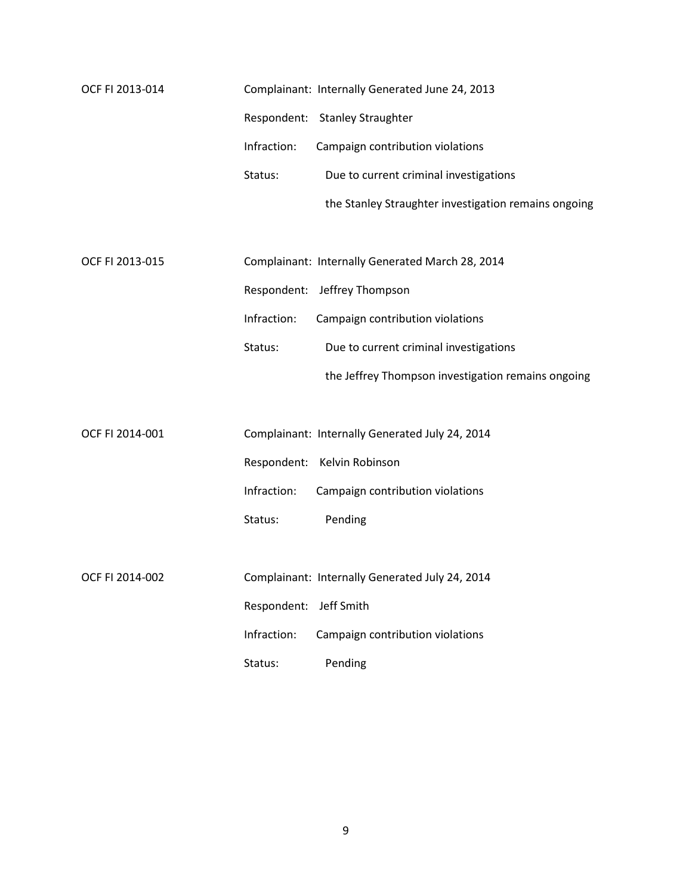| OCF FI 2013-014 |             | Complainant: Internally Generated June 24, 2013      |
|-----------------|-------------|------------------------------------------------------|
|                 |             | Respondent: Stanley Straughter                       |
|                 | Infraction: | Campaign contribution violations                     |
|                 | Status:     | Due to current criminal investigations               |
|                 |             | the Stanley Straughter investigation remains ongoing |
|                 |             |                                                      |
| OCF FI 2013-015 |             | Complainant: Internally Generated March 28, 2014     |
|                 |             | Respondent: Jeffrey Thompson                         |
|                 | Infraction: | Campaign contribution violations                     |
|                 | Status:     | Due to current criminal investigations               |
|                 |             | the Jeffrey Thompson investigation remains ongoing   |
|                 |             |                                                      |
| OCF FI 2014-001 |             | Complainant: Internally Generated July 24, 2014      |
|                 |             | Respondent: Kelvin Robinson                          |
|                 | Infraction: | Campaign contribution violations                     |
|                 | Status:     | Pending                                              |
|                 |             |                                                      |
| OCF FI 2014-002 |             | Complainant: Internally Generated July 24, 2014      |
|                 | Respondent: | Jeff Smith                                           |
|                 | Infraction: | Campaign contribution violations                     |
|                 | Status:     | Pending                                              |